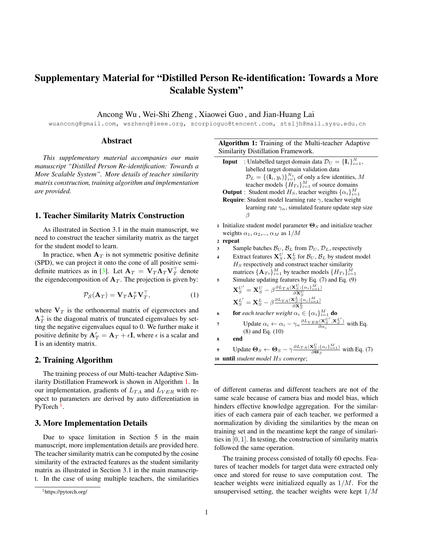# <span id="page-0-2"></span>Supplementary Material for "Distilled Person Re-identification: Towards a More Scalable System"

Ancong Wu , Wei-Shi Zheng , Xiaowei Guo , and Jian-Huang Lai

wuancong@gmail.com, wszheng@ieee.org, scorpioguo@tencent.com, stsljh@mail.sysu.edu.cn

## Abstract

*This supplementary material accompanies our main manuscript "Distilled Person Re-identification: Towards a More Scalable System". More details of teacher similarity matrix construction, training algorithm and implementation are provided.*

## 1. Teacher Similarity Matrix Construction

As illustrated in Section 3.1 in the main manuscript, we need to construct the teacher similarity matrix as the target for the student model to learn.

In practice, when  $A_T$  is not symmetric positive definite (SPD), we can project it onto the cone of all positive semi-definite matrices as in [\[3\]](#page-1-0). Let  $\mathbf{A}_T = \mathbf{V}_T \mathbf{\Lambda}_T \mathbf{V}_T^\top$  denote the eigendecomposition of  $A_T$ . The projection is given by:

$$
\mathcal{P}_{\mathcal{S}}(\mathbf{A}_T) = \mathbf{V}_T \mathbf{\Lambda}_T^+ \mathbf{V}_T^\top, \tag{1}
$$

where  $V_T$  is the orthonormal matrix of eigenvectors and  $\Lambda_T^+$  is the diagonal matrix of truncated eigenvalues by setting the negative eigenvalues equal to 0. We further make it positive definite by  $A'_T = A_T + \epsilon I$ , where  $\epsilon$  is a scalar and I is an identity matrix.

#### 2. Training Algorithm

The training process of our Multi-teacher Adaptive Similarity Distillation Framework is shown in Algorithm [1.](#page-0-0) In our implementation, gradients of  $L_{TA}$  and  $L_{VER}$  with respect to parameters are derived by auto differentiation in PyTorch<sup>[1](#page-0-1)</sup>.

# <span id="page-0-0"></span>3. More Implementation Details

Due to space limitation in Section 5 in the main manuscript, more implementation details are provided here. The teacher similarity matrix can be computed by the cosine similarity of the extracted features as the student similarity matrix as illustrated in Section 3.1 in the main manuscript. In the case of using multiple teachers, the similarities

Algorithm 1: Training of the Multi-teacher Adaptive Similarity Distillation Framework.

**Input** : Unlabelled target domain data  $\mathcal{D}_U = {\{\mathbf{I}_i\}}_{i=1}^N$ , labelled target domain validation data  $D_L = \{(\mathbf{I}_i, y_i)\}_{i=1}^{N_v}$  of only a few identities, M teacher models  $\{H_{Ti}\}_{i=1}^M$  of source domains **Output** : Student model  $H_S$ , teacher weights  $\{\alpha_i\}_{i=1}^M$ **Require:** Student model learning rate  $\gamma$ , teacher weight

learning rate  $\gamma_{\alpha}$ , simulated feature update step size β

1 Initialize student model parameter  $\Theta_S$  and initialize teacher weights  $\alpha_1, \alpha_2, \ldots, \alpha_M$  as  $1/M$ 

<sup>2</sup> repeat

3 Sample batches  $B_U$ ,  $B_L$  from  $D_U$ ,  $D_L$ , respectively

- 4 Extract features  $\mathbf{X}_{S}^{U}, \mathbf{X}_{S}^{L}$  for  $\mathcal{B}_{U}, \mathcal{B}_{L}$  by student model  $H<sub>S</sub>$  respectively and construct teacher similarity matrices  $\{\mathbf A_{Ti}\}_{i=1}^M$  by teacher models  $\{H_{Ti}\}_{i=1}^M$
- <sup>5</sup> Simulate updating features by Eq. (7) and Eq. (9)  $\mathbf{X}_{S}^{U'} = \mathbf{X}_{S}^{U} - \beta \frac{\partial L_{TA}(\mathbf{X}_{S}^{U};\{\alpha_{i}\}_{i=1}^{M})}{\partial \mathbf{X}_{S}^{U}} \ \mathbf{X}_{S}^{L'} = \mathbf{X}_{S}^{L} - \beta \frac{\partial L_{TA}(\mathbf{X}_{S}^{L};\{\alpha_{i}\}_{i=1}^{M})}{\partial \mathbf{X}_{S}^{L}}$ **6 for** each teacher weight  $\alpha_i \in \{\alpha_i\}_{i=1}^M$  **do**

7 Update 
$$
\alpha_i \leftarrow \alpha_i - \gamma_\alpha \frac{\partial L_{VER}(\mathbf{X}_S^{U'}, \mathbf{X}_S^{L'})}{\partial \alpha_i}
$$
 with Eq. (8) and Eq. (10)

$$
8 \qquad \quad \textbf{end}
$$

9 Update 
$$
\mathbf{\Theta}_S \leftarrow \mathbf{\Theta}_S - \gamma \frac{\partial L_{TA}(\mathbf{X}_S^U; \{\alpha_i\}_{i=1}^M)}{\partial \mathbf{\Theta}_S}
$$
 with Eq. (7)  
10 until *student model*  $H_S$  *converge*;

of different cameras and different teachers are not of the same scale because of camera bias and model bias, which hinders effective knowledge aggregation. For the similarities of each camera pair of each teacher, we performed a normalization by dividing the similarities by the mean on training set and in the meantime kept the range of similarities in [0, 1]. In testing, the construction of similarity matrix followed the same operation.

The training process consisted of totally 60 epochs. Features of teacher models for target data were extracted only once and stored for reuse to save computation cost. The teacher weights were initialized equally as  $1/M$ . For the unsupervised setting, the teacher weights were kept  $1/M$ 

<span id="page-0-1"></span><sup>1</sup>https://pytorch.org/